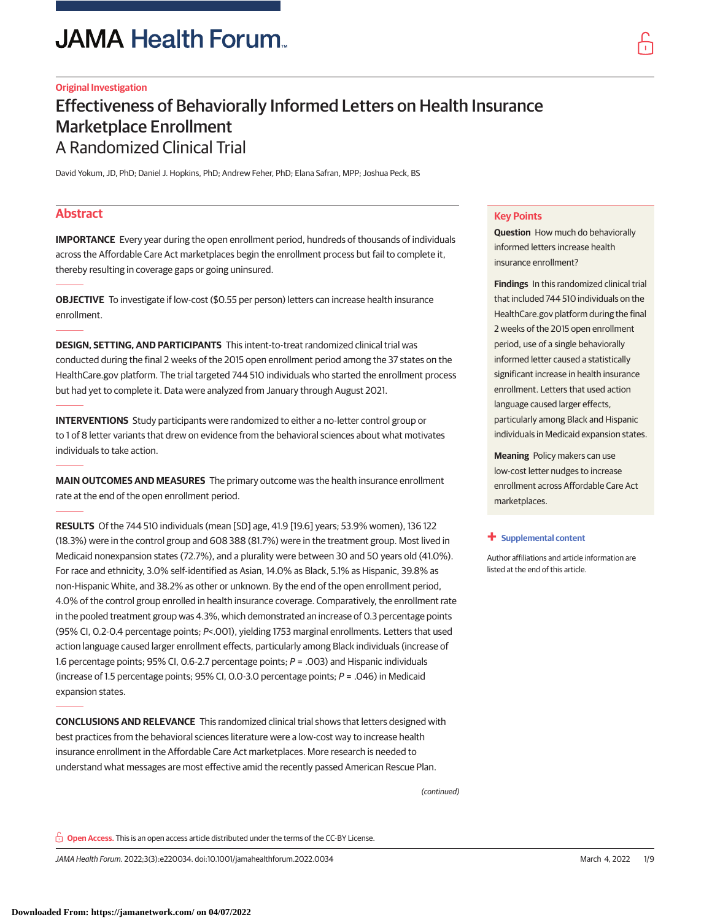# **JAMA Health Forum**

### **Original Investigation**

## Effectiveness of Behaviorally Informed Letters on Health Insurance Marketplace Enrollment A Randomized Clinical Trial

David Yokum, JD, PhD; Daniel J. Hopkins, PhD; Andrew Feher, PhD; Elana Safran, MPP; Joshua Peck, BS

### **Abstract**

**IMPORTANCE** Every year during the open enrollment period, hundreds of thousands of individuals across the Affordable Care Act marketplaces begin the enrollment process but fail to complete it, thereby resulting in coverage gaps or going uninsured.

**OBJECTIVE** To investigate if low-cost (\$0.55 per person) letters can increase health insurance enrollment.

**DESIGN, SETTING, AND PARTICIPANTS** This intent-to-treat randomized clinical trial was conducted during the final 2 weeks of the 2015 open enrollment period among the 37 states on the HealthCare.gov platform. The trial targeted 744 510 individuals who started the enrollment process but had yet to complete it. Data were analyzed from January through August 2021.

**INTERVENTIONS** Study participants were randomized to either a no-letter control group or to 1 of 8 letter variants that drew on evidence from the behavioral sciences about what motivates individuals to take action.

**MAIN OUTCOMES AND MEASURES** The primary outcome was the health insurance enrollment rate at the end of the open enrollment period.

**RESULTS** Of the 744 510 individuals (mean [SD] age, 41.9 [19.6] years; 53.9% women), 136 122 (18.3%) were in the control group and 608 388 (81.7%) were in the treatment group. Most lived in Medicaid nonexpansion states (72.7%), and a plurality were between 30 and 50 years old (41.0%). For race and ethnicity, 3.0% self-identified as Asian, 14.0% as Black, 5.1% as Hispanic, 39.8% as non-Hispanic White, and 38.2% as other or unknown. By the end of the open enrollment period, 4.0% of the control group enrolled in health insurance coverage. Comparatively, the enrollment rate in the pooled treatment group was 4.3%, which demonstrated an increase of 0.3 percentage points (95% CI, 0.2-0.4 percentage points; P<.001), yielding 1753 marginal enrollments. Letters that used action language caused larger enrollment effects, particularly among Black individuals (increase of 1.6 percentage points; 95% CI, 0.6-2.7 percentage points;  $P = .003$ ) and Hispanic individuals (increase of 1.5 percentage points; 95% CI, 0.0-3.0 percentage points; P = .046) in Medicaid expansion states.

**CONCLUSIONS AND RELEVANCE** This randomized clinical trial shows that letters designed with best practices from the behavioral sciences literature were a low-cost way to increase health insurance enrollment in the Affordable Care Act marketplaces. More research is needed to understand what messages are most effective amid the recently passed American Rescue Plan.

(continued)

**Key Points**

**Question** How much do behaviorally informed letters increase health insurance enrollment?

**Findings** In this randomized clinical trial that included 744 510 individuals on the HealthCare.gov platform during the final 2 weeks of the 2015 open enrollment period, use of a single behaviorally informed letter caused a statistically significant increase in health insurance enrollment. Letters that used action language caused larger effects, particularly among Black and Hispanic individuals in Medicaid expansion states.

**Meaning** Policy makers can use low-cost letter nudges to increase enrollment across Affordable Care Act marketplaces.

#### **+ [Supplemental content](https://jama.jamanetwork.com/article.aspx?doi=10.1001/jamahealthforum.2022.0034&utm_campaign=articlePDF%26utm_medium=articlePDFlink%26utm_source=articlePDF%26utm_content=jamahealthforum.2022.0034)**

Author affiliations and article information are listed at the end of this article.

**Open Access.** This is an open access article distributed under the terms of the CC-BY License.

JAMA Health Forum. 2022;3(3):e220034. doi:10.1001/jamahealthforum.2022.0034 (Reprinted) March 4, 2022 1/9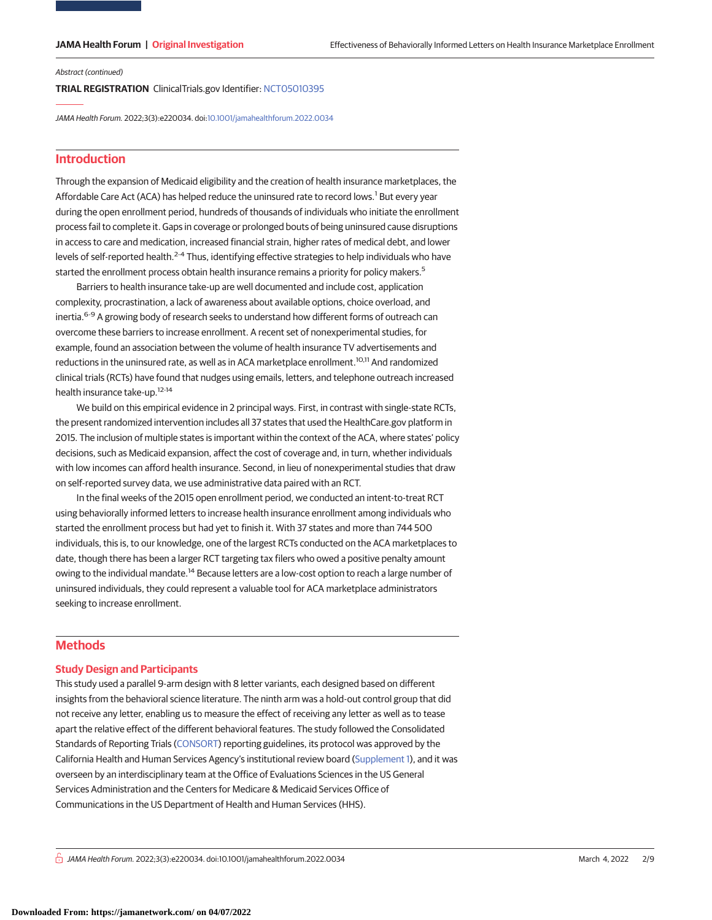#### Abstract (continued)

**TRIAL REGISTRATION** ClinicalTrials.gov Identifier: [NCT05010395](https://clinicaltrials.gov/ct2/show/NCT05010395?term=NCT05010395&draw=2&rank=1)

JAMA Health Forum. 2022;3(3):e220034. doi[:10.1001/jamahealthforum.2022.0034](https://jama.jamanetwork.com/article.aspx?doi=10.1001/jamahealthforum.2022.0034&utm_campaign=articlePDF%26utm_medium=articlePDFlink%26utm_source=articlePDF%26utm_content=jamahealthforum.2022.0034)

### **Introduction**

Through the expansion of Medicaid eligibility and the creation of health insurance marketplaces, the Affordable Care Act (ACA) has helped reduce the uninsured rate to record lows.<sup>1</sup> But every year during the open enrollment period, hundreds of thousands of individuals who initiate the enrollment process fail to complete it. Gaps in coverage or prolonged bouts of being uninsured cause disruptions in access to care and medication, increased financial strain, higher rates of medical debt, and lower levels of self-reported health.<sup>2-4</sup> Thus, identifying effective strategies to help individuals who have started the enrollment process obtain health insurance remains a priority for policy makers.<sup>5</sup>

Barriers to health insurance take-up are well documented and include cost, application complexity, procrastination, a lack of awareness about available options, choice overload, and inertia.<sup>6-9</sup> A growing body of research seeks to understand how different forms of outreach can overcome these barriers to increase enrollment. A recent set of nonexperimental studies, for example, found an association between the volume of health insurance TV advertisements and reductions in the uninsured rate, as well as in ACA marketplace enrollment.10,11 And randomized clinical trials (RCTs) have found that nudges using emails, letters, and telephone outreach increased health insurance take-up.12-14

We build on this empirical evidence in 2 principal ways. First, in contrast with single-state RCTs, the present randomized intervention includes all 37 states that used the HealthCare.gov platform in 2015. The inclusion of multiple states is important within the context of the ACA, where states' policy decisions, such as Medicaid expansion, affect the cost of coverage and, in turn, whether individuals with low incomes can afford health insurance. Second, in lieu of nonexperimental studies that draw on self-reported survey data, we use administrative data paired with an RCT.

In the final weeks of the 2015 open enrollment period, we conducted an intent-to-treat RCT using behaviorally informed letters to increase health insurance enrollment among individuals who started the enrollment process but had yet to finish it. With 37 states and more than 744 500 individuals, this is, to our knowledge, one of the largest RCTs conducted on the ACA marketplaces to date, though there has been a larger RCT targeting tax filers who owed a positive penalty amount owing to the individual mandate.<sup>14</sup> Because letters are a low-cost option to reach a large number of uninsured individuals, they could represent a valuable tool for ACA marketplace administrators seeking to increase enrollment.

### **Methods**

#### **Study Design and Participants**

This study used a parallel 9-arm design with 8 letter variants, each designed based on different insights from the behavioral science literature. The ninth arm was a hold-out control group that did not receive any letter, enabling us to measure the effect of receiving any letter as well as to tease apart the relative effect of the different behavioral features. The study followed the Consolidated Standards of Reporting Trials [\(CONSORT\)](http://www.equator-network.org/reporting-guidelines/consort/) reporting guidelines, its protocol was approved by the California Health and Human Services Agency's institutional review board [\(Supplement 1\)](https://jama.jamanetwork.com/article.aspx?doi=10.1001/jamahealthforum.2022.0034&utm_campaign=articlePDF%26utm_medium=articlePDFlink%26utm_source=articlePDF%26utm_content=jamahealthforum.2022.0034), and it was overseen by an interdisciplinary team at the Office of Evaluations Sciences in the US General Services Administration and the Centers for Medicare & Medicaid Services Office of Communications in the US Department of Health and Human Services (HHS).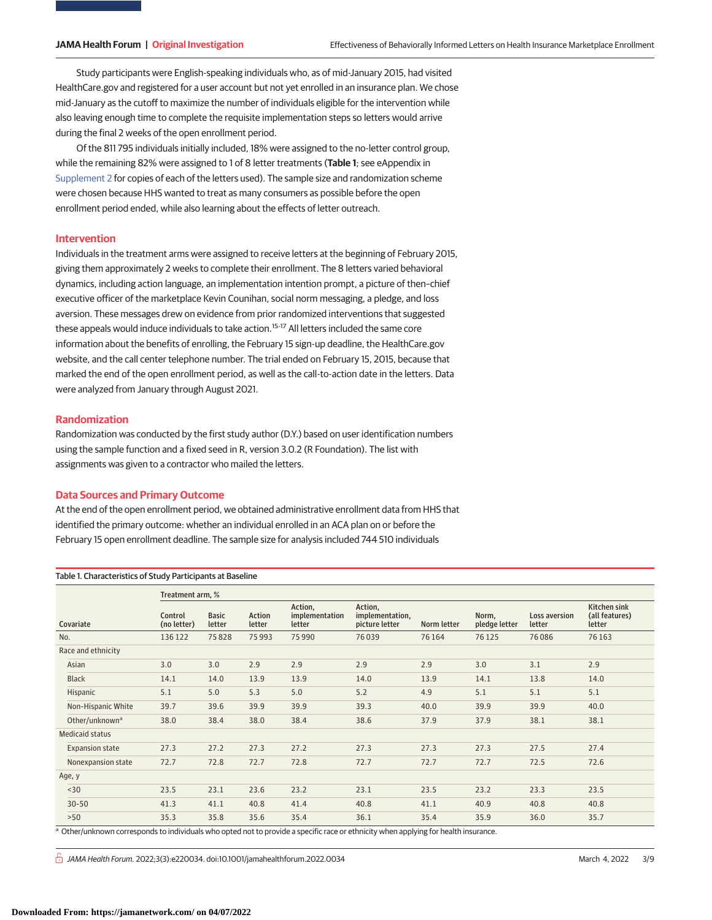Study participants were English-speaking individuals who, as of mid-January 2015, had visited HealthCare.gov and registered for a user account but not yet enrolled in an insurance plan. We chose mid-January as the cutoff to maximize the number of individuals eligible for the intervention while also leaving enough time to complete the requisite implementation steps so letters would arrive during the final 2 weeks of the open enrollment period.

Of the 811 795 individuals initially included, 18% were assigned to the no-letter control group, while the remaining 82% were assigned to 1 of 8 letter treatments (**Table 1**; see eAppendix in [Supplement 2](https://jama.jamanetwork.com/article.aspx?doi=10.1001/jamahealthforum.2022.0034&utm_campaign=articlePDF%26utm_medium=articlePDFlink%26utm_source=articlePDF%26utm_content=jamahealthforum.2022.0034) for copies of each of the letters used). The sample size and randomization scheme were chosen because HHS wanted to treat as many consumers as possible before the open enrollment period ended, while also learning about the effects of letter outreach.

#### **Intervention**

Individuals in the treatment arms were assigned to receive letters at the beginning of February 2015, giving them approximately 2 weeks to complete their enrollment. The 8 letters varied behavioral dynamics, including action language, an implementation intention prompt, a picture of then–chief executive officer of the marketplace Kevin Counihan, social norm messaging, a pledge, and loss aversion. These messages drew on evidence from prior randomized interventions that suggested these appeals would induce individuals to take action.<sup>15-17</sup> All letters included the same core information about the benefits of enrolling, the February 15 sign-up deadline, the HealthCare.gov website, and the call center telephone number. The trial ended on February 15, 2015, because that marked the end of the open enrollment period, as well as the call-to-action date in the letters. Data were analyzed from January through August 2021.

#### **Randomization**

Randomization was conducted by the first study author (D.Y.) based on user identification numbers using the sample function and a fixed seed in R, version 3.0.2 (R Foundation). The list with assignments was given to a contractor who mailed the letters.

#### **Data Sources and Primary Outcome**

Table 1. Characteristics of Study Participants at Baseline

At the end of the open enrollment period, we obtained administrative enrollment data from HHS that identified the primary outcome: whether an individual enrolled in an ACA plan on or before the February 15 open enrollment deadline. The sample size for analysis included 744 510 individuals

|                            | Treatment arm, %       |                        |                  |                                     |                                              |             |                        |                         |                                          |
|----------------------------|------------------------|------------------------|------------------|-------------------------------------|----------------------------------------------|-------------|------------------------|-------------------------|------------------------------------------|
| Covariate                  | Control<br>(no letter) | <b>Basic</b><br>letter | Action<br>letter | Action,<br>implementation<br>letter | Action,<br>implementation,<br>picture letter | Norm letter | Norm,<br>pledge letter | Loss aversion<br>letter | Kitchen sink<br>(all features)<br>letter |
| No.                        | 136 122                | 75828                  | 75993            | 75990                               | 76039                                        | 76164       | 76 1 25                | 76086                   | 76 163                                   |
| Race and ethnicity         |                        |                        |                  |                                     |                                              |             |                        |                         |                                          |
| Asian                      | 3.0                    | 3.0                    | 2.9              | 2.9                                 | 2.9                                          | 2.9         | 3.0                    | 3.1                     | 2.9                                      |
| <b>Black</b>               | 14.1                   | 14.0                   | 13.9             | 13.9                                | 14.0                                         | 13.9        | 14.1                   | 13.8                    | 14.0                                     |
| Hispanic                   | 5.1                    | 5.0                    | 5.3              | 5.0                                 | 5.2                                          | 4.9         | 5.1                    | 5.1                     | 5.1                                      |
| Non-Hispanic White         | 39.7                   | 39.6                   | 39.9             | 39.9                                | 39.3                                         | 40.0        | 39.9                   | 39.9                    | 40.0                                     |
| Other/unknown <sup>a</sup> | 38.0                   | 38.4                   | 38.0             | 38.4                                | 38.6                                         | 37.9        | 37.9                   | 38.1                    | 38.1                                     |
| <b>Medicaid status</b>     |                        |                        |                  |                                     |                                              |             |                        |                         |                                          |
| <b>Expansion state</b>     | 27.3                   | 27.2                   | 27.3             | 27.2                                | 27.3                                         | 27.3        | 27.3                   | 27.5                    | 27.4                                     |
| Nonexpansion state         | 72.7                   | 72.8                   | 72.7             | 72.8                                | 72.7                                         | 72.7        | 72.7                   | 72.5                    | 72.6                                     |
| Age, y                     |                        |                        |                  |                                     |                                              |             |                        |                         |                                          |
| $30$                       | 23.5                   | 23.1                   | 23.6             | 23.2                                | 23.1                                         | 23.5        | 23.2                   | 23.3                    | 23.5                                     |
| $30 - 50$                  | 41.3                   | 41.1                   | 40.8             | 41.4                                | 40.8                                         | 41.1        | 40.9                   | 40.8                    | 40.8                                     |
| >50                        | 35.3                   | 35.8                   | 35.6             | 35.4                                | 36.1                                         | 35.4        | 35.9                   | 36.0                    | 35.7                                     |

<sup>a</sup> Other/unknown corresponds to individuals who opted not to provide a specific race or ethnicity when applying for health insurance.

 $\frac{1}{10}$  JAMA Health Forum. 2022;3(3):e220034. doi:10.1001/jamahealthforum.2022.0034 (Reprinted) March 4, 2022 3/9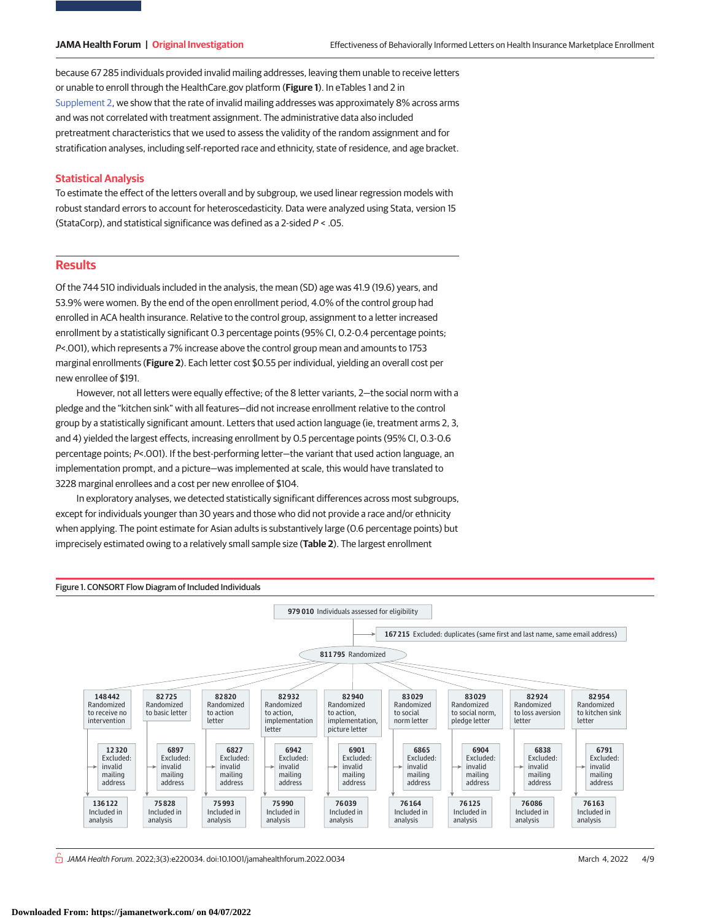because 67 285 individuals provided invalid mailing addresses, leaving them unable to receive letters or unable to enroll through the HealthCare.gov platform (**Figure 1**). In eTables 1 and 2 in [Supplement 2,](https://jama.jamanetwork.com/article.aspx?doi=10.1001/jamahealthforum.2022.0034&utm_campaign=articlePDF%26utm_medium=articlePDFlink%26utm_source=articlePDF%26utm_content=jamahealthforum.2022.0034) we show that the rate of invalid mailing addresses was approximately 8% across arms and was not correlated with treatment assignment. The administrative data also included pretreatment characteristics that we used to assess the validity of the random assignment and for stratification analyses, including self-reported race and ethnicity, state of residence, and age bracket.

#### **Statistical Analysis**

To estimate the effect of the letters overall and by subgroup, we used linear regression models with robust standard errors to account for heteroscedasticity. Data were analyzed using Stata, version 15 (StataCorp), and statistical significance was defined as a 2-sided P < .05.

#### **Results**

Of the 744 510 individuals included in the analysis, the mean (SD) age was 41.9 (19.6) years, and 53.9% were women. By the end of the open enrollment period, 4.0% of the control group had enrolled in ACA health insurance. Relative to the control group, assignment to a letter increased enrollment by a statistically significant 0.3 percentage points (95% CI, 0.2-0.4 percentage points; P<.001), which represents a 7% increase above the control group mean and amounts to 1753 marginal enrollments (**Figure 2**). Each letter cost \$0.55 per individual, yielding an overall cost per new enrollee of \$191.

However, not all letters were equally effective; of the 8 letter variants, 2—the social norm with a pledge and the "kitchen sink" with all features—did not increase enrollment relative to the control group by a statistically significant amount. Letters that used action language (ie, treatment arms 2, 3, and 4) yielded the largest effects, increasing enrollment by 0.5 percentage points (95% CI, 0.3-0.6 percentage points; P<.001). If the best-performing letter—the variant that used action language, an implementation prompt, and a picture—was implemented at scale, this would have translated to 3228 marginal enrollees and a cost per new enrollee of \$104.

In exploratory analyses, we detected statistically significant differences across most subgroups, except for individuals younger than 30 years and those who did not provide a race and/or ethnicity when applying. The point estimate for Asian adults is substantively large (0.6 percentage points) but imprecisely estimated owing to a relatively small sample size (**Table 2**). The largest enrollment



 $\frac{1}{10}$  JAMA Health Forum. 2022;3(3):e220034. doi:10.1001/jamahealthforum.2022.0034 (Reprinted) March 4, 2022 4/9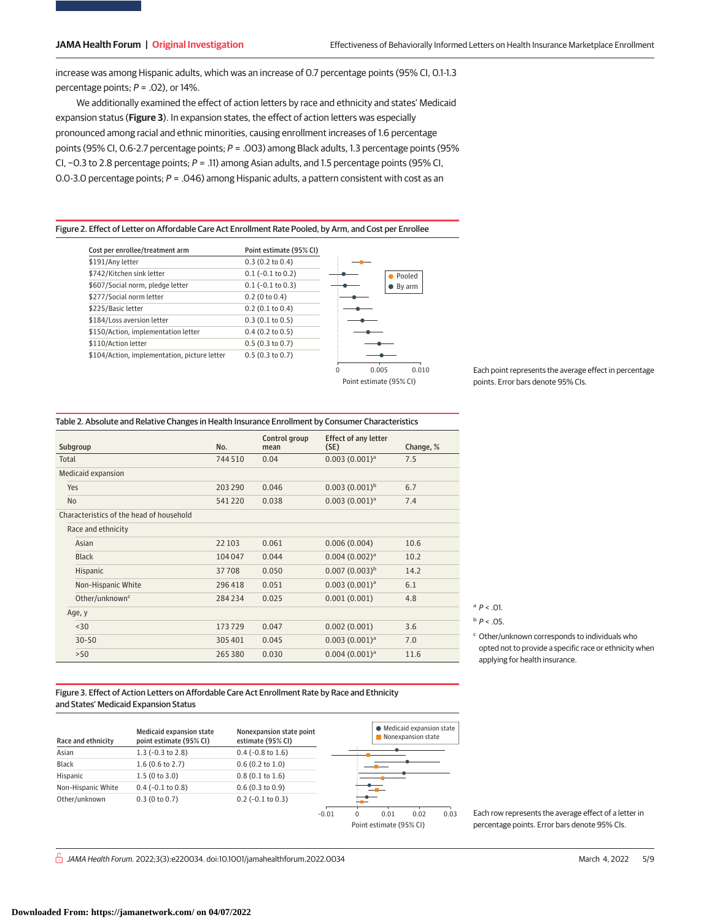increase was among Hispanic adults, which was an increase of 0.7 percentage points (95% CI, 0.1-1.3 percentage points;  $P = .02$ ), or 14%.

We additionally examined the effect of action letters by race and ethnicity and states' Medicaid expansion status (**Figure 3**). In expansion states, the effect of action letters was especially pronounced among racial and ethnic minorities, causing enrollment increases of 1.6 percentage points (95% CI, 0.6-2.7 percentage points; P = .003) among Black adults, 1.3 percentage points (95% CI, −0.3 to 2.8 percentage points; P = .11) among Asian adults, and 1.5 percentage points (95% CI, 0.0-3.0 percentage points;  $P = .046$ ) among Hispanic adults, a pattern consistent with cost as an

#### Figure 2. Effect of Letter on Affordable Care Act Enrollment Rate Pooled, by Arm, and Cost per Enrollee

| Cost per enrollee/treatment arm              | Point estimate (95% CI) |                            |
|----------------------------------------------|-------------------------|----------------------------|
| \$191/Any letter                             | 0.3(0.2 to 0.4)         |                            |
| \$742/Kitchen sink letter                    | $0.1$ (-0.1 to 0.2)     | Pooled                     |
| \$607/Social norm, pledge letter             | $0.1$ (-0.1 to 0.3)     | By arm                     |
| \$277/Social norm letter                     | $0.2$ (0 to 0.4)        |                            |
| \$225/Basic letter                           | $0.2$ (0.1 to 0.4)      |                            |
| \$184/Loss aversion letter                   | 0.3(0.1 to 0.5)         |                            |
| \$150/Action, implementation letter          | $0.4$ (0.2 to 0.5)      |                            |
| \$110/Action letter                          | 0.5(0.3 to 0.7)         |                            |
| \$104/Action, implementation, picture letter | 0.5(0.3 to 0.7)         |                            |
|                                              |                         | 0.010<br>0.005<br>$\Omega$ |
|                                              |                         | Point estimate (95% CI)    |

Each point represents the average effect in percentage points. Error bars denote 95% CIs.

| Table 2. Absolute and Relative Changes in Health Insurance Enrollment by Consumer Characteristics |  |
|---------------------------------------------------------------------------------------------------|--|
|---------------------------------------------------------------------------------------------------|--|

| Subgroup                                 | No.     | Control group<br>mean | <b>Effect of any letter</b><br>(SE) | Change, % |
|------------------------------------------|---------|-----------------------|-------------------------------------|-----------|
| Total                                    | 744510  | 0.04                  | $0.003(0.001)^a$                    | 7.5       |
| Medicaid expansion                       |         |                       |                                     |           |
| Yes                                      | 203 290 | 0.046                 | $0.003(0.001)^b$                    | 6.7       |
| <b>No</b>                                | 541220  | 0.038                 | 0.003(0.001) <sup>a</sup>           | 7.4       |
| Characteristics of the head of household |         |                       |                                     |           |
| Race and ethnicity                       |         |                       |                                     |           |
| Asian                                    | 22 10 3 | 0.061                 | 0.006(0.004)                        | 10.6      |
| <b>Black</b>                             | 104047  | 0.044                 | 0.004(0.002) <sup>a</sup>           | 10.2      |
| Hispanic                                 | 37708   | 0.050                 | $0.007(0.003)^b$                    | 14.2      |
| Non-Hispanic White                       | 296418  | 0.051                 | 0.003(0.001) <sup>a</sup>           | 6.1       |
| Other/unknown <sup>c</sup>               | 284234  | 0.025                 | 0.001(0.001)                        | 4.8       |
| Age, y                                   |         |                       |                                     |           |
| $30$                                     | 173729  | 0.047                 | 0.002(0.001)                        | 3.6       |
| $30 - 50$                                | 305 401 | 0.045                 | $0.003(0.001)^a$                    | 7.0       |
| $>50$                                    | 265 380 | 0.030                 | $0.004(0.001)^a$                    | 11.6      |

 $^{\circ}$  P < .01.

 $b$   $P < .05$ .

<sup>c</sup> Other/unknown corresponds to individuals who opted not to provide a specific race or ethnicity when applying for health insurance.

Figure 3. Effect of Action Letters on Affordable Care Act Enrollment Rate by Race and Ethnicity and States' Medicaid Expansion Status



Each row represents the average effect of a letter in percentage points. Error bars denote 95% CIs.

 $\bigcap$  JAMA Health Forum. 2022;3(3):e220034. doi:10.1001/jamahealthforum.2022.0034 (Reprinted) March 4, 2022 5/9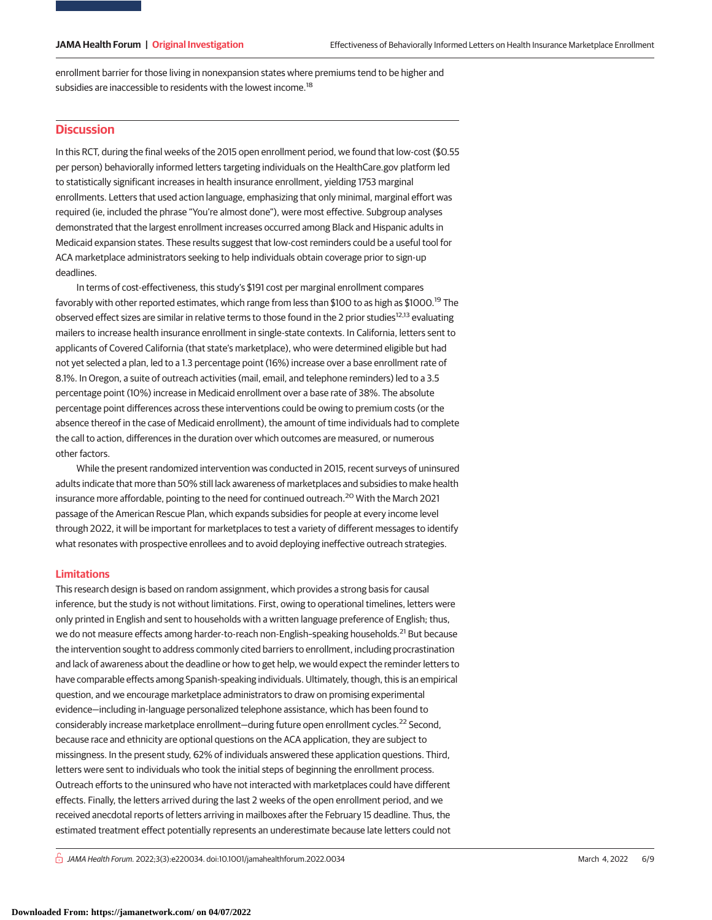enrollment barrier for those living in nonexpansion states where premiums tend to be higher and subsidies are inaccessible to residents with the lowest income.<sup>18</sup>

### **Discussion**

In this RCT, during the final weeks of the 2015 open enrollment period, we found that low-cost (\$0.55 per person) behaviorally informed letters targeting individuals on the HealthCare.gov platform led to statistically significant increases in health insurance enrollment, yielding 1753 marginal enrollments. Letters that used action language, emphasizing that only minimal, marginal effort was required (ie, included the phrase "You're almost done"), were most effective. Subgroup analyses demonstrated that the largest enrollment increases occurred among Black and Hispanic adults in Medicaid expansion states. These results suggest that low-cost reminders could be a useful tool for ACA marketplace administrators seeking to help individuals obtain coverage prior to sign-up deadlines.

In terms of cost-effectiveness, this study's \$191 cost per marginal enrollment compares favorably with other reported estimates, which range from less than \$100 to as high as \$1000.<sup>19</sup> The observed effect sizes are similar in relative terms to those found in the 2 prior studies<sup>12,13</sup> evaluating mailers to increase health insurance enrollment in single-state contexts. In California, letters sent to applicants of Covered California (that state's marketplace), who were determined eligible but had not yet selected a plan, led to a 1.3 percentage point (16%) increase over a base enrollment rate of 8.1%. In Oregon, a suite of outreach activities (mail, email, and telephone reminders) led to a 3.5 percentage point (10%) increase in Medicaid enrollment over a base rate of 38%. The absolute percentage point differences across these interventions could be owing to premium costs (or the absence thereof in the case of Medicaid enrollment), the amount of time individuals had to complete the call to action, differences in the duration over which outcomes are measured, or numerous other factors.

While the present randomized intervention was conducted in 2015, recent surveys of uninsured adults indicate that more than 50% still lack awareness of marketplaces and subsidies to make health insurance more affordable, pointing to the need for continued outreach.<sup>20</sup> With the March 2021 passage of the American Rescue Plan, which expands subsidies for people at every income level through 2022, it will be important for marketplaces to test a variety of different messages to identify what resonates with prospective enrollees and to avoid deploying ineffective outreach strategies.

### **Limitations**

This research design is based on random assignment, which provides a strong basis for causal inference, but the study is not without limitations. First, owing to operational timelines, letters were only printed in English and sent to households with a written language preference of English; thus, we do not measure effects among harder-to-reach non-English-speaking households.<sup>21</sup> But because the intervention sought to address commonly cited barriers to enrollment, including procrastination and lack of awareness about the deadline or how to get help, we would expect the reminder letters to have comparable effects among Spanish-speaking individuals. Ultimately, though, this is an empirical question, and we encourage marketplace administrators to draw on promising experimental evidence—including in-language personalized telephone assistance, which has been found to considerably increase marketplace enrollment—during future open enrollment cycles.<sup>22</sup> Second, because race and ethnicity are optional questions on the ACA application, they are subject to missingness. In the present study, 62% of individuals answered these application questions. Third, letters were sent to individuals who took the initial steps of beginning the enrollment process. Outreach efforts to the uninsured who have not interacted with marketplaces could have different effects. Finally, the letters arrived during the last 2 weeks of the open enrollment period, and we received anecdotal reports of letters arriving in mailboxes after the February 15 deadline. Thus, the estimated treatment effect potentially represents an underestimate because late letters could not

 $\bigcap$  JAMA Health Forum. 2022;3(3):e220034. doi:10.1001/jamahealthforum.2022.0034 (Reprinted) March 4, 2022 6/9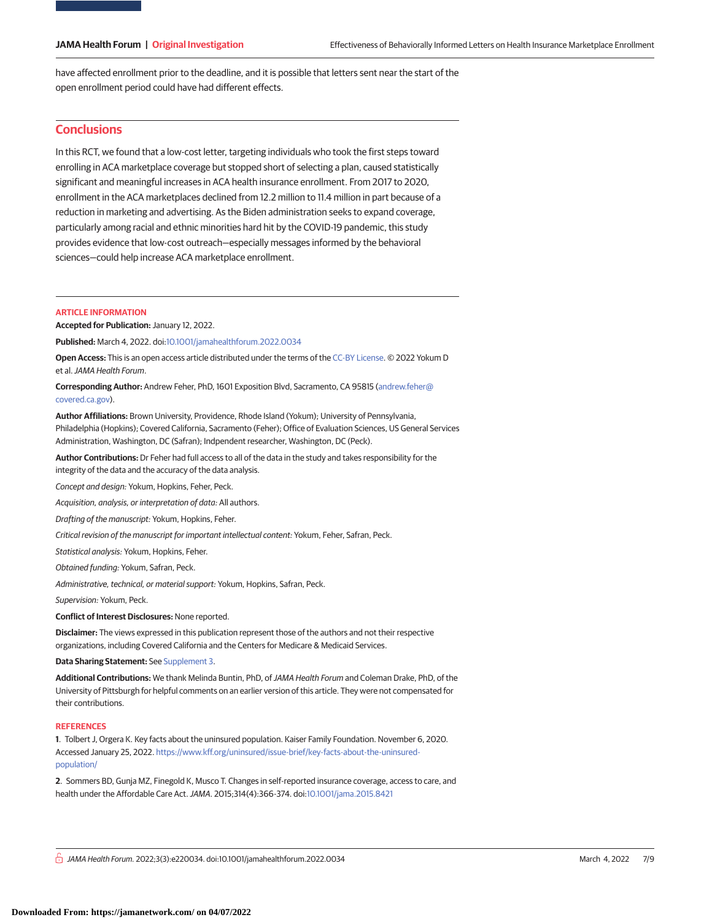have affected enrollment prior to the deadline, and it is possible that letters sent near the start of the open enrollment period could have had different effects.

#### **Conclusions**

In this RCT, we found that a low-cost letter, targeting individuals who took the first steps toward enrolling in ACA marketplace coverage but stopped short of selecting a plan, caused statistically significant and meaningful increases in ACA health insurance enrollment. From 2017 to 2020, enrollment in the ACA marketplaces declined from 12.2 million to 11.4 million in part because of a reduction in marketing and advertising. As the Biden administration seeks to expand coverage, particularly among racial and ethnic minorities hard hit by the COVID-19 pandemic, this study provides evidence that low-cost outreach—especially messages informed by the behavioral sciences—could help increase ACA marketplace enrollment.

#### **ARTICLE INFORMATION**

**Accepted for Publication:** January 12, 2022.

**Published:** March 4, 2022. doi[:10.1001/jamahealthforum.2022.0034](https://jama.jamanetwork.com/article.aspx?doi=10.1001/jamahealthforum.2022.0034&utm_campaign=articlePDF%26utm_medium=articlePDFlink%26utm_source=articlePDF%26utm_content=jamahealthforum.2022.0034)

**Open Access:** This is an open access article distributed under the terms of the [CC-BY License.](https://jamanetwork.com/pages/cc-by-license-permissions/?utm_campaign=articlePDF%26utm_medium=articlePDFlink%26utm_source=articlePDF%26utm_content=jamahealthforum.2022.0034) © 2022 Yokum D et al.JAMA Health Forum.

**Corresponding Author:** Andrew Feher, PhD, 1601 Exposition Blvd, Sacramento, CA 95815 [\(andrew.feher@](mailto:andrew.feher@covered.ca.gov) [covered.ca.gov\)](mailto:andrew.feher@covered.ca.gov).

**Author Affiliations:** Brown University, Providence, Rhode Island (Yokum); University of Pennsylvania, Philadelphia (Hopkins); Covered California, Sacramento (Feher); Office of Evaluation Sciences, US General Services Administration, Washington, DC (Safran); Indpendent researcher, Washington, DC (Peck).

**Author Contributions:** Dr Feher had full access to all of the data in the study and takes responsibility for the integrity of the data and the accuracy of the data analysis.

Concept and design: Yokum, Hopkins, Feher, Peck.

Acquisition, analysis, or interpretation of data: All authors.

Drafting of the manuscript: Yokum, Hopkins, Feher.

Critical revision of the manuscript for important intellectual content: Yokum, Feher, Safran, Peck.

Statistical analysis: Yokum, Hopkins, Feher.

Obtained funding: Yokum, Safran, Peck.

Administrative, technical, or material support: Yokum, Hopkins, Safran, Peck.

Supervision: Yokum, Peck.

**Conflict of Interest Disclosures:** None reported.

**Disclaimer:** The views expressed in this publication represent those of the authors and not their respective organizations, including Covered California and the Centers for Medicare & Medicaid Services.

**Data Sharing Statement:** See [Supplement 3.](https://jama.jamanetwork.com/article.aspx?doi=10.1001/jamahealthforum.2022.0034&utm_campaign=articlePDF%26utm_medium=articlePDFlink%26utm_source=articlePDF%26utm_content=jamahealthforum.2022.0034)

**Additional Contributions:** We thank Melinda Buntin, PhD, ofJAMA Health Forum and Coleman Drake, PhD, of the University of Pittsburgh for helpful comments on an earlier version of this article. They were not compensated for their contributions.

#### **REFERENCES**

**1**. Tolbert J, Orgera K. Key facts about the uninsured population. Kaiser Family Foundation. November 6, 2020. Accessed January 25, 2022. [https://www.kff.org/uninsured/issue-brief/key-facts-about-the-uninsured](https://www.kff.org/uninsured/issue-brief/key-facts-about-the-uninsured-population/)[population/](https://www.kff.org/uninsured/issue-brief/key-facts-about-the-uninsured-population/)

**2**. Sommers BD, Gunja MZ, Finegold K, Musco T. Changes in self-reported insurance coverage, access to care, and health under the Affordable Care Act.JAMA. 2015;314(4):366-374. doi[:10.1001/jama.2015.8421](https://jama.jamanetwork.com/article.aspx?doi=10.1001/jama.2015.8421&utm_campaign=articlePDF%26utm_medium=articlePDFlink%26utm_source=articlePDF%26utm_content=jamahealthforum.2022.0034)

 $\stackrel{\frown}{\Box}$  JAMA Health Forum. 2022;3(3):e220034. doi:10.1001/jamahealthforum.2022.0034 (Reprinted) March 4, 2022 7/9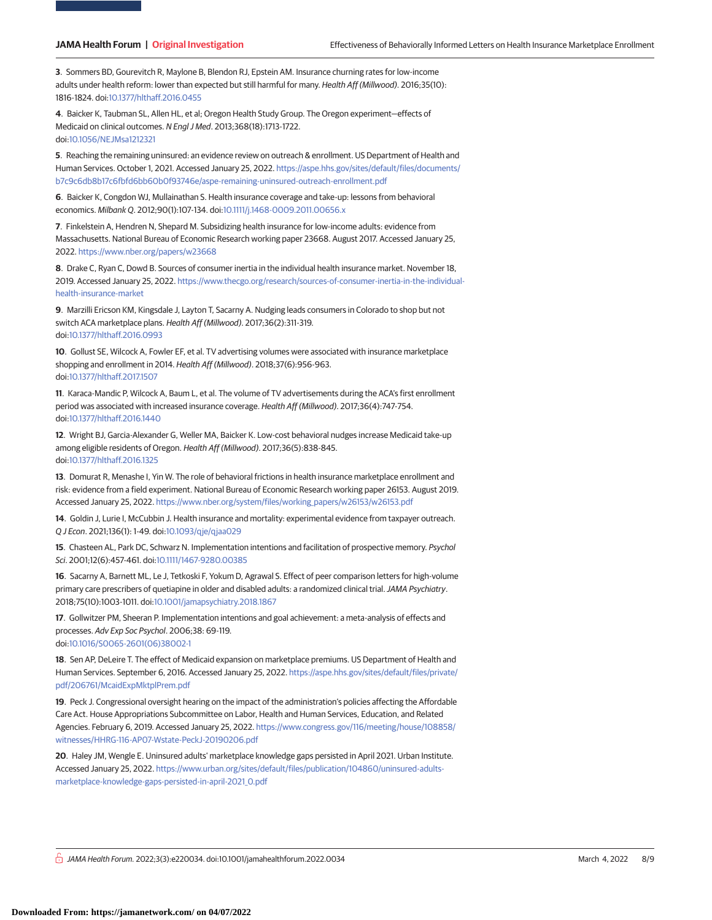**3**. Sommers BD, Gourevitch R, Maylone B, Blendon RJ, Epstein AM. Insurance churning rates for low-income adults under health reform: lower than expected but still harmful for many. Health Aff (Millwood). 2016;35(10): 1816-1824. doi[:10.1377/hlthaff.2016.0455](https://dx.doi.org/10.1377/hlthaff.2016.0455)

**4**. Baicker K, Taubman SL, Allen HL, et al; Oregon Health Study Group. The Oregon experiment—effects of Medicaid on clinical outcomes. N Engl J Med. 2013;368(18):1713-1722. doi[:10.1056/NEJMsa1212321](https://dx.doi.org/10.1056/NEJMsa1212321)

**5**. Reaching the remaining uninsured: an evidence review on outreach & enrollment. US Department of Health and Human Services. October 1, 2021. Accessed January 25, 2022. [https://aspe.hhs.gov/sites/default/files/documents/](https://aspe.hhs.gov/sites/default/files/documents/b7c9c6db8b17c6fbfd6bb60b0f93746e/aspe-remaining-uninsured-outreach-enrollment.pdf) [b7c9c6db8b17c6fbfd6bb60b0f93746e/aspe-remaining-uninsured-outreach-enrollment.pdf](https://aspe.hhs.gov/sites/default/files/documents/b7c9c6db8b17c6fbfd6bb60b0f93746e/aspe-remaining-uninsured-outreach-enrollment.pdf)

**6**. Baicker K, Congdon WJ, Mullainathan S. Health insurance coverage and take-up: lessons from behavioral economics. Milbank Q. 2012;90(1):107-134. doi[:10.1111/j.1468-0009.2011.00656.x](https://dx.doi.org/10.1111/j.1468-0009.2011.00656.x)

**7**. Finkelstein A, Hendren N, Shepard M. Subsidizing health insurance for low-income adults: evidence from Massachusetts. National Bureau of Economic Research working paper 23668. August 2017. Accessed January 25, 2022. <https://www.nber.org/papers/w23668>

**8**. Drake C, Ryan C, Dowd B. Sources of consumer inertia in the individual health insurance market. November 18, 2019. Accessed January 25, 2022. [https://www.thecgo.org/research/sources-of-consumer-inertia-in-the-individual](https://www.thecgo.org/research/sources-of-consumer-inertia-in-the-individual-health-insurance-market)[health-insurance-market](https://www.thecgo.org/research/sources-of-consumer-inertia-in-the-individual-health-insurance-market)

**9**. Marzilli Ericson KM, Kingsdale J, Layton T, Sacarny A. Nudging leads consumers in Colorado to shop but not switch ACA marketplace plans. Health Aff (Millwood). 2017;36(2):311-319. doi[:10.1377/hlthaff.2016.0993](https://dx.doi.org/10.1377/hlthaff.2016.0993)

**10**. Gollust SE, Wilcock A, Fowler EF, et al. TV advertising volumes were associated with insurance marketplace shopping and enrollment in 2014. Health Aff (Millwood). 2018;37(6):956-963. doi[:10.1377/hlthaff.2017.1507](https://dx.doi.org/10.1377/hlthaff.2017.1507)

**11**. Karaca-Mandic P, Wilcock A, Baum L, et al. The volume of TV advertisements during the ACA's first enrollment period was associated with increased insurance coverage. Health Aff (Millwood). 2017;36(4):747-754. doi[:10.1377/hlthaff.2016.1440](https://dx.doi.org/10.1377/hlthaff.2016.1440)

**12**. Wright BJ, Garcia-Alexander G, Weller MA, Baicker K. Low-cost behavioral nudges increase Medicaid take-up among eligible residents of Oregon. Health Aff (Millwood). 2017;36(5):838-845. doi[:10.1377/hlthaff.2016.1325](https://dx.doi.org/10.1377/hlthaff.2016.1325)

**13**. Domurat R, Menashe I, Yin W. The role of behavioral frictions in health insurance marketplace enrollment and risk: evidence from a field experiment. National Bureau of Economic Research working paper 26153. August 2019. Accessed January 25, 2022. [https://www.nber.org/system/files/working\\_papers/w26153/w26153.pdf](https://www.nber.org/system/files/working_papers/w26153/w26153.pdf)

**14**. Goldin J, Lurie I, McCubbin J. Health insurance and mortality: experimental evidence from taxpayer outreach. Q J Econ. 2021;136(1): 1-49. doi[:10.1093/qje/qjaa029](https://dx.doi.org/10.1093/qje/qjaa029)

**15**. Chasteen AL, Park DC, Schwarz N. Implementation intentions and facilitation of prospective memory. Psychol Sci. 2001;12(6):457-461. doi[:10.1111/1467-9280.00385](https://dx.doi.org/10.1111/1467-9280.00385)

**16**. Sacarny A, Barnett ML, Le J, Tetkoski F, Yokum D, Agrawal S. Effect of peer comparison letters for high-volume primary care prescribers of quetiapine in older and disabled adults: a randomized clinical trial.JAMA Psychiatry. 2018;75(10):1003-1011. doi[:10.1001/jamapsychiatry.2018.1867](https://jama.jamanetwork.com/article.aspx?doi=10.1001/jamapsychiatry.2018.1867&utm_campaign=articlePDF%26utm_medium=articlePDFlink%26utm_source=articlePDF%26utm_content=jamahealthforum.2022.0034)

**17**. Gollwitzer PM, Sheeran P. Implementation intentions and goal achievement: a meta-analysis of effects and processes. Adv Exp Soc Psychol. 2006;38: 69-119. doi[:10.1016/S0065-2601\(06\)38002-1](https://dx.doi.org/10.1016/S0065-2601(06)38002-1)

**18**. Sen AP, DeLeire T. The effect of Medicaid expansion on marketplace premiums. US Department of Health and Human Services. September 6, 2016. Accessed January 25, 2022. [https://aspe.hhs.gov/sites/default/files/private/](https://aspe.hhs.gov/sites/default/files/private/pdf/206761/McaidExpMktplPrem.pdf) [pdf/206761/McaidExpMktplPrem.pdf](https://aspe.hhs.gov/sites/default/files/private/pdf/206761/McaidExpMktplPrem.pdf)

**19**. Peck J. Congressional oversight hearing on the impact of the administration's policies affecting the Affordable Care Act. House Appropriations Subcommittee on Labor, Health and Human Services, Education, and Related Agencies. February 6, 2019. Accessed January 25, 2022. [https://www.congress.gov/116/meeting/house/108858/](https://www.congress.gov/116/meeting/house/108858/witnesses/HHRG-116-AP07-Wstate-PeckJ-20190206.pdf) [witnesses/HHRG-116-AP07-Wstate-PeckJ-20190206.pdf](https://www.congress.gov/116/meeting/house/108858/witnesses/HHRG-116-AP07-Wstate-PeckJ-20190206.pdf)

**20**. Haley JM, Wengle E. Uninsured adults' marketplace knowledge gaps persisted in April 2021. Urban Institute. Accessed January 25, 2022. [https://www.urban.org/sites/default/files/publication/104860/uninsured-adults](https://www.urban.org/sites/default/files/publication/104860/uninsured-adults-marketplace-knowledge-gaps-persisted-in-april-2021_0.pdf)[marketplace-knowledge-gaps-persisted-in-april-2021\\_0.pdf](https://www.urban.org/sites/default/files/publication/104860/uninsured-adults-marketplace-knowledge-gaps-persisted-in-april-2021_0.pdf)

 $\frac{\cap}{\cap}$  JAMA Health Forum. 2022;3(3):e220034. doi:10.1001/jamahealthforum.2022.0034 (Reprinted) March 4, 2022 8/9